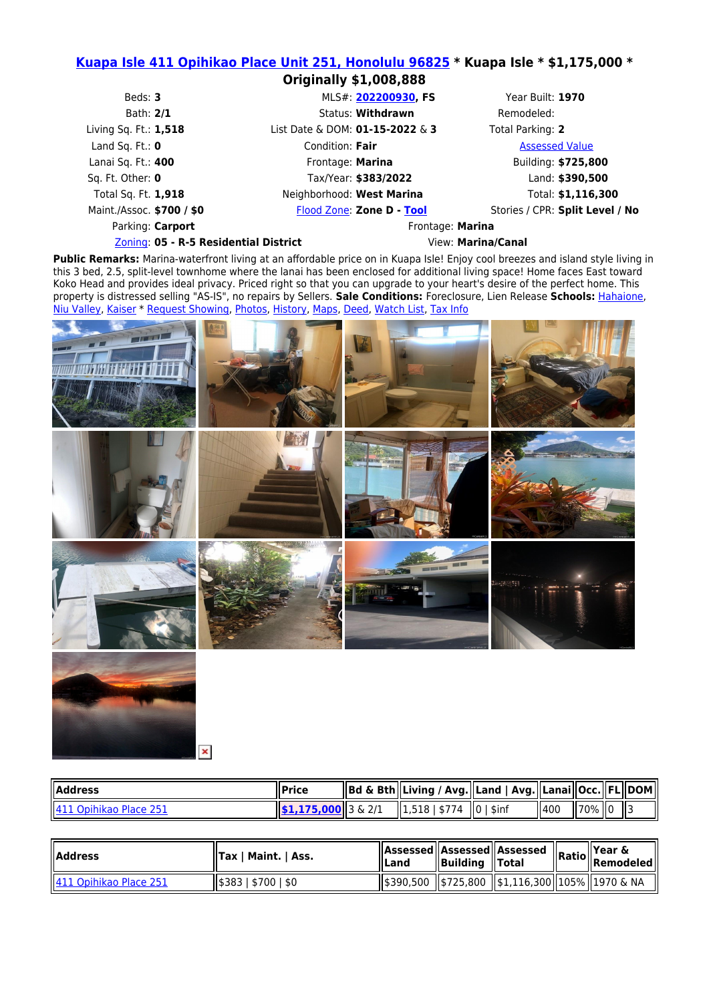## **[Kuapa Isle 411 Opihikao Place Unit 251, Honolulu 96825](https://www.google.com/maps/place/411 Opihikao Place ,+Honolulu,+HI+96825) \* Kuapa Isle \* \$1,175,000 \***

## **Originally \$1,008,888**

Parking: **Carport Frontage: Marina** 

Beds: **3** MLS#: **[202200930,](https://www.oahure.com/SearchMLS_Details.php?MLSNumber=202200930&PropertyType=CND) FS** Year Built: **1970** Bath: 2/1 **Bath: 2/1** Status: **Withdrawn** Remodeled: Living Sq. Ft.: **1,518** List Date & DOM: **01-15-2022** & **3** Total Parking: **2** Land Sq. Ft.: 0 **Condition: Fair Condition: Fair** [Assessed Value](http://qpublic9.qpublic.net/hi_honolulu_display.php?county=hi_honolulu&KEY=390310020049) Lanai Sq. Ft.: **400** Frontage: **Marina** Building: **\$725,800** Sq. Ft. Other: **0** Tax/Year: **\$383/2022** Land: **\$390,500** Total Sq. Ft. **1,918** Neighborhood: **West Marina** Total: **\$1,116,300** Maint./Assoc. **\$700 / \$0** [Flood Zone](https://msc.fema.gov/webapp/wcs/stores/servlet/info?storeId=10001&catalogId=10001&langId=-1&content=floodZones&title=FEMA%2520Flood%2520Zone%2520Designations): **Zone D - [Tool](https://gis.hawaiinfip.org/FHAT/Default.aspx?tmk=139031002)** Stories / CPR: **Split Level / No**

## [Zoning](https://www.oahure.com/pdf/zoning.pdf): **05 - R-5 Residential District** View: **Marina/Canal**

 $\pmb{\times}$ 

Public Remarks: Marina-waterfront living at an affordable price on in Kuapa Isle! Enjoy cool breezes and island style living in this 3 bed, 2.5, split-level townhome where the lanai has been enclosed for additional living space! Home faces East toward Koko Head and provides ideal privacy. Priced right so that you can upgrade to your heart's desire of the perfect home. This property is distressed selling "AS-IS", no repairs by Sellers. **Sale Conditions:** Foreclosure, Lien Release **Schools:** [Hahaione](https://www.oahure.com/InstantSearch.php?&Status=Active&PropertyType=CND&ElementarySchool1=Hahaione), [Niu Valley,](https://www.oahure.com/InstantSearch.php?&Status=Active&PropertyType=CND&MiddleOrJuniorSchool1=Niu+Valley) [Kaiser](https://www.oahure.com/InstantSearch.php?&Status=Active&PropertyType=CND&HighSchool1=Kaiser) \* [Request Showing](https://www.oahure.com/ShowingRequestForm.php?MLSNumber=202200930&Region=HawaiiKai&Price=1175000), [Photos](https://www.oahure.com/SearchMLS_Details.php?MLSNumber=202200930&PropertyType=CND#photos), [History,](https://www.oahure.com/SearchMLS_Details.php?MLSNumber=202200930&PropertyType=CND#history) [Maps,](https://www.oahure.com/SearchMLS_Details.php?MLSNumber=202200930&PropertyType=CND#maps) [Deed,](https://www.oahure.com/SearchMLS_Details.php?MLSNumber=202200930&PropertyType=CND#deed) [Watch List](https://www.oahure.com/SearchMLS_Details.php?MLSNumber=202200930&PropertyType=CND#watch), [Tax Info](https://www.oahure.com/SearchMLS_Details.php?MLSNumber=202200930&PropertyType=CND#tax)



| <b>I</b> Address              | <b>IPrice</b>                   | Bd & Bth  Living / Avg.  Land   Avg.  Lanai  Occ.  FL  DOM |       |         |  |
|-------------------------------|---------------------------------|------------------------------------------------------------|-------|---------|--|
| l Opihikao Place 251<br>11411 | $\parallel$ \$1.175.000 3 & 2/1 | $\parallel$ 1.518   \$774 $\parallel$ 0   \$inf            | 11400 | 70%   0 |  |

| <b>I</b> Address       | Tax   Maint.   Ass. | Assessed  Assessed  Assessed <br>∣Land | $\parallel$ Building $\parallel$ Total |                                                      | 'lYear &<br>$\ \textsf{Ratio}\ $ Remodeled |
|------------------------|---------------------|----------------------------------------|----------------------------------------|------------------------------------------------------|--------------------------------------------|
| 411 Opihikao Place 251 | \$383   \$700   \$0 |                                        |                                        | \$390,500   \$725,800   \$1,116,300  105%  1970 & NA |                                            |